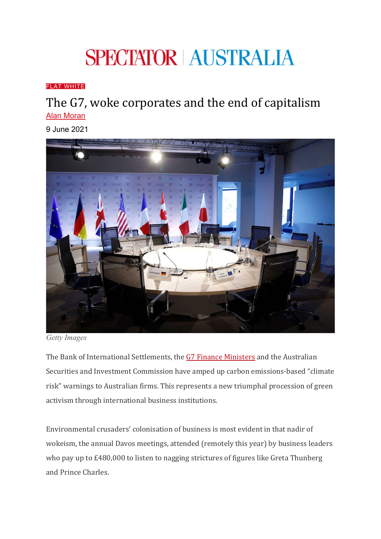# **SPECTATOR AUSTRALIA**

#### [FLAT WHITE](https://www.spectator.com.au/category/flat-white/)

## The G7, woke corporates and the end of capitalism [Alan Moran](https://www.spectator.com.au/author/alanmoran/)

9 June 2021



*Getty Images*

The Bank of International Settlements, the [G7 Finance Ministers](https://www.reuters.com/business/environment/g7-backs-making-climate-risk-disclosure-mandatory-2021-06-05/?mkt_tok=ODUwLVRBQS01MTEAAAF9hT7Fh7ebn3a5O19nvJfkHnwz3XpJsfRqv6yIMhKbPKZwsxxZnKr96wwFEiAxlv0qRtxiizJjBcX6l6uD5G734Vo8xuNkeyMj-5HkCHxVlEqs) and the Australian Securities and Investment Commission have amped up carbon emissions-based "climate risk" warnings to Australian firms. This represents a new triumphal procession of green activism through international business institutions.

Environmental crusaders' colonisation of business is most evident in that nadir of wokeism, the annual Davos meetings, attended (remotely this year) by business leaders who pay up to £480,000 to listen to nagging strictures of figures like Greta Thunberg and Prince Charles.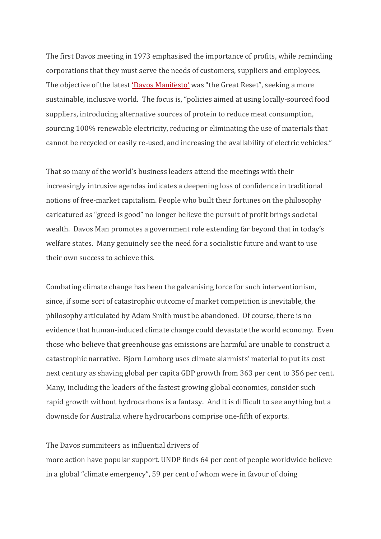The first Davos meeting in 1973 emphasised the importance of profits, while reminding corporations that they must serve the needs of customers, suppliers and employees. The objective of the latest ['Davos Manifesto'](https://www.weforum.org/the-davos-manifesto) was "the Great Reset", seeking a more sustainable, inclusive world. The focus is, "policies aimed at using locally-sourced food suppliers, introducing alternative sources of protein to reduce meat consumption, sourcing 100% renewable electricity, reducing or eliminating the use of materials that cannot be recycled or easily re-used, and increasing the availability of electric vehicles."

That so many of the world's business leaders attend the meetings with their increasingly intrusive agendas indicates a deepening loss of confidence in traditional notions of free-market capitalism. People who built their fortunes on the philosophy caricatured as "greed is good" no longer believe the pursuit of profit brings societal wealth. Davos Man promotes a government role extending far beyond that in today's welfare states. Many genuinely see the need for a socialistic future and want to use their own success to achieve this.

Combating climate change has been the galvanising force for such interventionism, since, if some sort of catastrophic outcome of market competition is inevitable, the philosophy articulated by Adam Smith must be abandoned. Of course, there is no evidence that human-induced climate change could devastate the world economy. Even those who believe that greenhouse gas emissions are harmful are unable to construct a catastrophic narrative. Bjorn Lomborg uses climate alarmists' material to put its cost next century as shaving global per capita GDP growth from 363 per cent to 356 per cent. Many, including the leaders of the fastest growing global economies, consider such rapid growth without hydrocarbons is a fantasy. And it is difficult to see anything but a downside for Australia where hydrocarbons comprise one-fifth of exports.

### The Davos summiteers as influential drivers of

more action have popular support. UNDP finds 64 per cent of people worldwide believe in a global "climate emergency", 59 per cent of whom were in favour of doing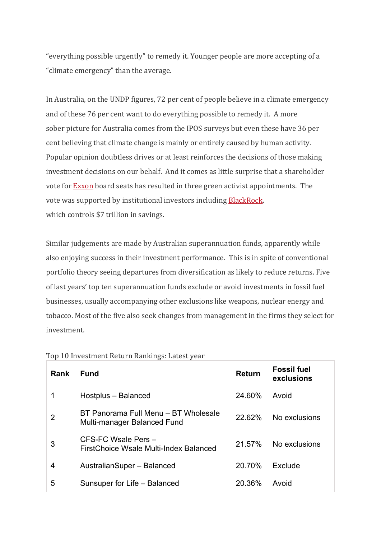"everything possible urgently" to remedy it. Younger people are more accepting of a "climate emergency" than the average.

In Australia, on the UNDP figures, 72 per cent of people believe in a climate emergency and of these 76 per cent want to do everything possible to remedy it. A more sober picture for Australia comes from the IPOS surveys but even these have 36 per cent believing that climate change is mainly or entirely caused by human activity. Popular opinion doubtless drives or at least reinforces the decisions of those making investment decisions on our behalf. And it comes as little surprise that a shareholder vote for [Exxon](https://www.wsj.com/articles/activist-likely-to-gain-third-seat-on-exxon-board-11622664757?mkt_tok=ODUwLVRBQS01MTEAAAF9cLia_zvGKAQXNhjpdpHb_BVf3zutkoZ1yEk1nGtxnrGYYzk6EBPUoTm5wsoUUrP3BXLINyGL7kG5-MFlti45iqDX55I8kO0JRQZuhaQl8jyD) board seats has resulted in three green activist appointments. The vote was supported by institutional investors including [BlackRock,](https://nypost.com/2021/06/05/blackrocks-no-1-goal-in-woke-investing-huge-esg-funds-haul/)  which controls \$7 trillion in savings.

Similar judgements are made by Australian superannuation funds, apparently while also enjoying success in their investment performance. This is in spite of conventional portfolio theory seeing departures from diversification as likely to reduce returns. Five of last years' top ten superannuation funds exclude or avoid investments in fossil fuel businesses, usually accompanying other exclusions like weapons, nuclear energy and tobacco. Most of the five also seek changes from management in the firms they select for investment.

| <b>Rank</b> | <b>Fund</b>                                                         | <b>Return</b> | <b>Fossil fuel</b><br>exclusions |
|-------------|---------------------------------------------------------------------|---------------|----------------------------------|
|             | Hostplus - Balanced                                                 | 24.60%        | Avoid                            |
| 2           | BT Panorama Full Menu – BT Wholesale<br>Multi-manager Balanced Fund | 22.62%        | No exclusions                    |
| 3           | CFS-FC Wsale Pers -<br>FirstChoice Wsale Multi-Index Balanced       | 21.57%        | No exclusions                    |
| 4           | AustralianSuper - Balanced                                          | 20.70%        | Exclude                          |
| 5           | Sunsuper for Life - Balanced                                        | 20.36%        | Avoid                            |

Top 10 Investment Return Rankings: Latest year